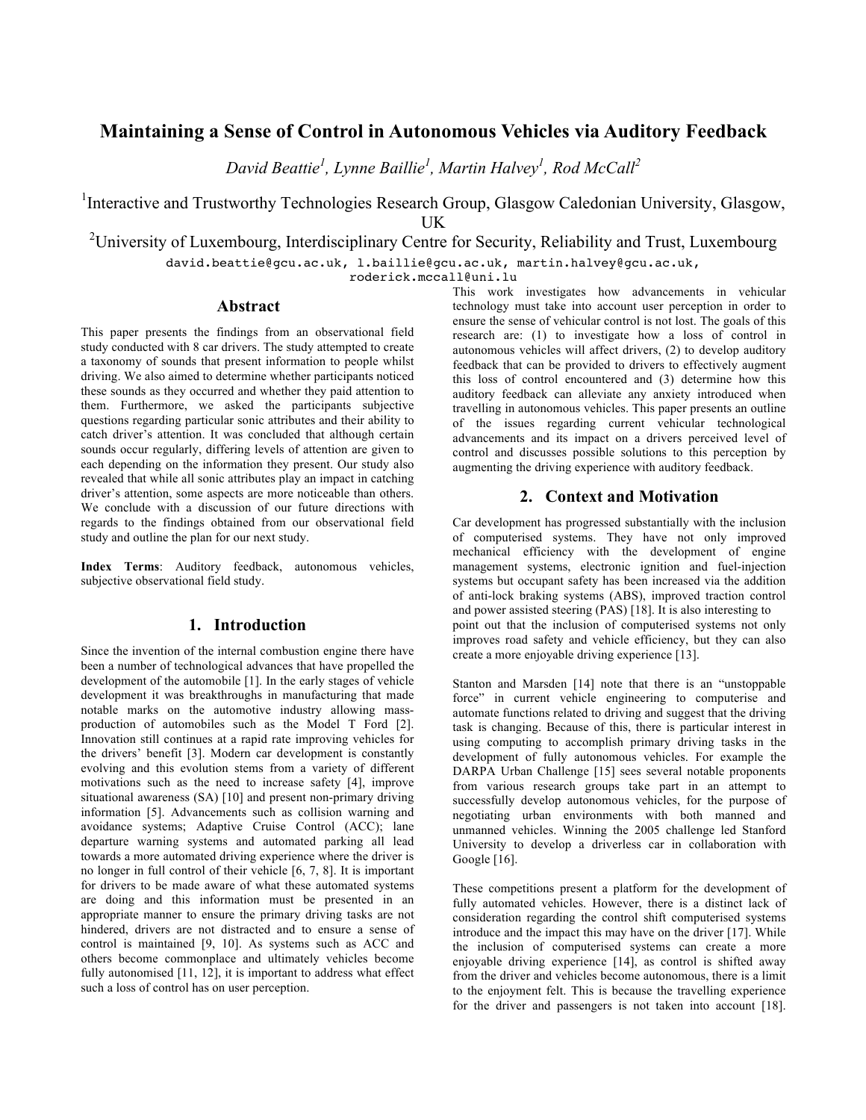# **Maintaining a Sense of Control in Autonomous Vehicles via Auditory Feedback**

*David Beattie<sup>1</sup> , Lynne Baillie<sup>1</sup> , Martin Halvey1 , Rod McCall2*

<sup>1</sup>Interactive and Trustworthy Technologies Research Group, Glasgow Caledonian University, Glasgow, UK

<sup>2</sup>University of Luxembourg, Interdisciplinary Centre for Security, Reliability and Trust, Luxembourg

david.beattie@gcu.ac.uk, l.baillie@gcu.ac.uk, martin.halvey@gcu.ac.uk,

roderick.mccall@uni.lu

### **Abstract**

This paper presents the findings from an observational field study conducted with 8 car drivers. The study attempted to create a taxonomy of sounds that present information to people whilst driving. We also aimed to determine whether participants noticed these sounds as they occurred and whether they paid attention to them. Furthermore, we asked the participants subjective questions regarding particular sonic attributes and their ability to catch driver's attention. It was concluded that although certain sounds occur regularly, differing levels of attention are given to each depending on the information they present. Our study also revealed that while all sonic attributes play an impact in catching driver's attention, some aspects are more noticeable than others. We conclude with a discussion of our future directions with regards to the findings obtained from our observational field study and outline the plan for our next study.

**Index Terms**: Auditory feedback, autonomous vehicles, subjective observational field study.

# **1. Introduction**

Since the invention of the internal combustion engine there have been a number of technological advances that have propelled the development of the automobile [1]. In the early stages of vehicle development it was breakthroughs in manufacturing that made notable marks on the automotive industry allowing massproduction of automobiles such as the Model T Ford [2]. Innovation still continues at a rapid rate improving vehicles for the drivers' benefit [3]. Modern car development is constantly evolving and this evolution stems from a variety of different motivations such as the need to increase safety [4], improve situational awareness (SA) [10] and present non-primary driving information [5]. Advancements such as collision warning and avoidance systems; Adaptive Cruise Control (ACC); lane departure warning systems and automated parking all lead towards a more automated driving experience where the driver is no longer in full control of their vehicle [6, 7, 8]. It is important for drivers to be made aware of what these automated systems are doing and this information must be presented in an appropriate manner to ensure the primary driving tasks are not hindered, drivers are not distracted and to ensure a sense of control is maintained [9, 10]. As systems such as ACC and others become commonplace and ultimately vehicles become fully autonomised  $[11, 12]$ , it is important to address what effect such a loss of control has on user perception.

This work investigates how advancements in vehicular technology must take into account user perception in order to ensure the sense of vehicular control is not lost. The goals of this research are: (1) to investigate how a loss of control in autonomous vehicles will affect drivers, (2) to develop auditory feedback that can be provided to drivers to effectively augment this loss of control encountered and (3) determine how this auditory feedback can alleviate any anxiety introduced when travelling in autonomous vehicles. This paper presents an outline of the issues regarding current vehicular technological advancements and its impact on a drivers perceived level of control and discusses possible solutions to this perception by augmenting the driving experience with auditory feedback.

# **2. Context and Motivation**

Car development has progressed substantially with the inclusion of computerised systems. They have not only improved mechanical efficiency with the development of engine management systems, electronic ignition and fuel-injection systems but occupant safety has been increased via the addition of anti-lock braking systems (ABS), improved traction control and power assisted steering (PAS) [18]. It is also interesting to point out that the inclusion of computerised systems not only improves road safety and vehicle efficiency, but they can also create a more enjoyable driving experience [13].

Stanton and Marsden [14] note that there is an "unstoppable force" in current vehicle engineering to computerise and automate functions related to driving and suggest that the driving task is changing. Because of this, there is particular interest in using computing to accomplish primary driving tasks in the development of fully autonomous vehicles. For example the DARPA Urban Challenge [15] sees several notable proponents from various research groups take part in an attempt to successfully develop autonomous vehicles, for the purpose of negotiating urban environments with both manned and unmanned vehicles. Winning the 2005 challenge led Stanford University to develop a driverless car in collaboration with Google [16].

These competitions present a platform for the development of fully automated vehicles. However, there is a distinct lack of consideration regarding the control shift computerised systems introduce and the impact this may have on the driver [17]. While the inclusion of computerised systems can create a more enjoyable driving experience [14], as control is shifted away from the driver and vehicles become autonomous, there is a limit to the enjoyment felt. This is because the travelling experience for the driver and passengers is not taken into account [18].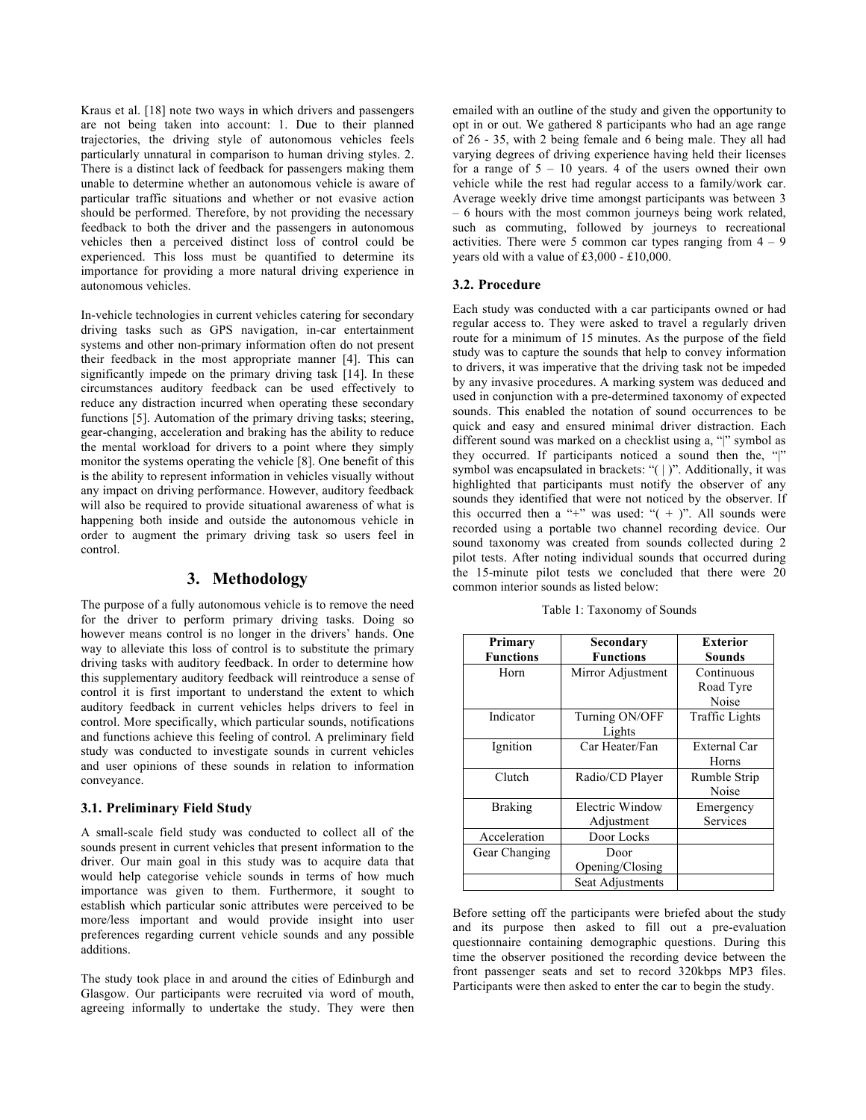Kraus et al. [18] note two ways in which drivers and passengers are not being taken into account: 1. Due to their planned trajectories, the driving style of autonomous vehicles feels particularly unnatural in comparison to human driving styles. 2. There is a distinct lack of feedback for passengers making them unable to determine whether an autonomous vehicle is aware of particular traffic situations and whether or not evasive action should be performed. Therefore, by not providing the necessary feedback to both the driver and the passengers in autonomous vehicles then a perceived distinct loss of control could be experienced. This loss must be quantified to determine its importance for providing a more natural driving experience in autonomous vehicles.

In-vehicle technologies in current vehicles catering for secondary driving tasks such as GPS navigation, in-car entertainment systems and other non-primary information often do not present their feedback in the most appropriate manner [4]. This can significantly impede on the primary driving task [14]. In these circumstances auditory feedback can be used effectively to reduce any distraction incurred when operating these secondary functions [5]. Automation of the primary driving tasks; steering, gear-changing, acceleration and braking has the ability to reduce the mental workload for drivers to a point where they simply monitor the systems operating the vehicle [8]. One benefit of this is the ability to represent information in vehicles visually without any impact on driving performance. However, auditory feedback will also be required to provide situational awareness of what is happening both inside and outside the autonomous vehicle in order to augment the primary driving task so users feel in control.

# **3. Methodology**

The purpose of a fully autonomous vehicle is to remove the need for the driver to perform primary driving tasks. Doing so however means control is no longer in the drivers' hands. One way to alleviate this loss of control is to substitute the primary driving tasks with auditory feedback. In order to determine how this supplementary auditory feedback will reintroduce a sense of control it is first important to understand the extent to which auditory feedback in current vehicles helps drivers to feel in control. More specifically, which particular sounds, notifications and functions achieve this feeling of control. A preliminary field study was conducted to investigate sounds in current vehicles and user opinions of these sounds in relation to information conveyance.

#### **3.1. Preliminary Field Study**

A small-scale field study was conducted to collect all of the sounds present in current vehicles that present information to the driver. Our main goal in this study was to acquire data that would help categorise vehicle sounds in terms of how much importance was given to them. Furthermore, it sought to establish which particular sonic attributes were perceived to be more/less important and would provide insight into user preferences regarding current vehicle sounds and any possible additions.

The study took place in and around the cities of Edinburgh and Glasgow. Our participants were recruited via word of mouth, agreeing informally to undertake the study. They were then emailed with an outline of the study and given the opportunity to opt in or out. We gathered 8 participants who had an age range of 26 - 35, with 2 being female and 6 being male. They all had varying degrees of driving experience having held their licenses for a range of  $5 - 10$  years. 4 of the users owned their own vehicle while the rest had regular access to a family/work car. Average weekly drive time amongst participants was between 3 – 6 hours with the most common journeys being work related, such as commuting, followed by journeys to recreational activities. There were 5 common car types ranging from  $4 - 9$ years old with a value of £3,000 - £10,000.

#### **3.2. Procedure**

Each study was conducted with a car participants owned or had regular access to. They were asked to travel a regularly driven route for a minimum of 15 minutes. As the purpose of the field study was to capture the sounds that help to convey information to drivers, it was imperative that the driving task not be impeded by any invasive procedures. A marking system was deduced and used in conjunction with a pre-determined taxonomy of expected sounds. This enabled the notation of sound occurrences to be quick and easy and ensured minimal driver distraction. Each different sound was marked on a checklist using a, "|" symbol as they occurred. If participants noticed a sound then the, "|" symbol was encapsulated in brackets: "(|)". Additionally, it was highlighted that participants must notify the observer of any sounds they identified that were not noticed by the observer. If this occurred then a "+" was used: " $( + )$ ". All sounds were recorded using a portable two channel recording device. Our sound taxonomy was created from sounds collected during 2 pilot tests. After noting individual sounds that occurred during the 15-minute pilot tests we concluded that there were 20 common interior sounds as listed below:

Table 1: Taxonomy of Sounds

| Primary<br><b>Functions</b> | Secondary<br><b>Functions</b> | <b>Exterior</b><br>Sounds        |
|-----------------------------|-------------------------------|----------------------------------|
| Horn                        | Mirror Adjustment             | Continuous<br>Road Tyre<br>Noise |
| Indicator                   | Turning ON/OFF<br>Lights      | <b>Traffic Lights</b>            |
| Ignition                    | Car Heater/Fan                | External Car<br>Horns            |
| Clutch                      | Radio/CD Player               | Rumble Strip<br>Noise            |
| <b>Braking</b>              | Electric Window<br>Adjustment | Emergency<br>Services            |
| Acceleration                | Door Locks                    |                                  |
| Gear Changing               | Door<br>Opening/Closing       |                                  |
|                             | Seat Adjustments              |                                  |

Before setting off the participants were briefed about the study and its purpose then asked to fill out a pre-evaluation questionnaire containing demographic questions. During this time the observer positioned the recording device between the front passenger seats and set to record 320kbps MP3 files. Participants were then asked to enter the car to begin the study.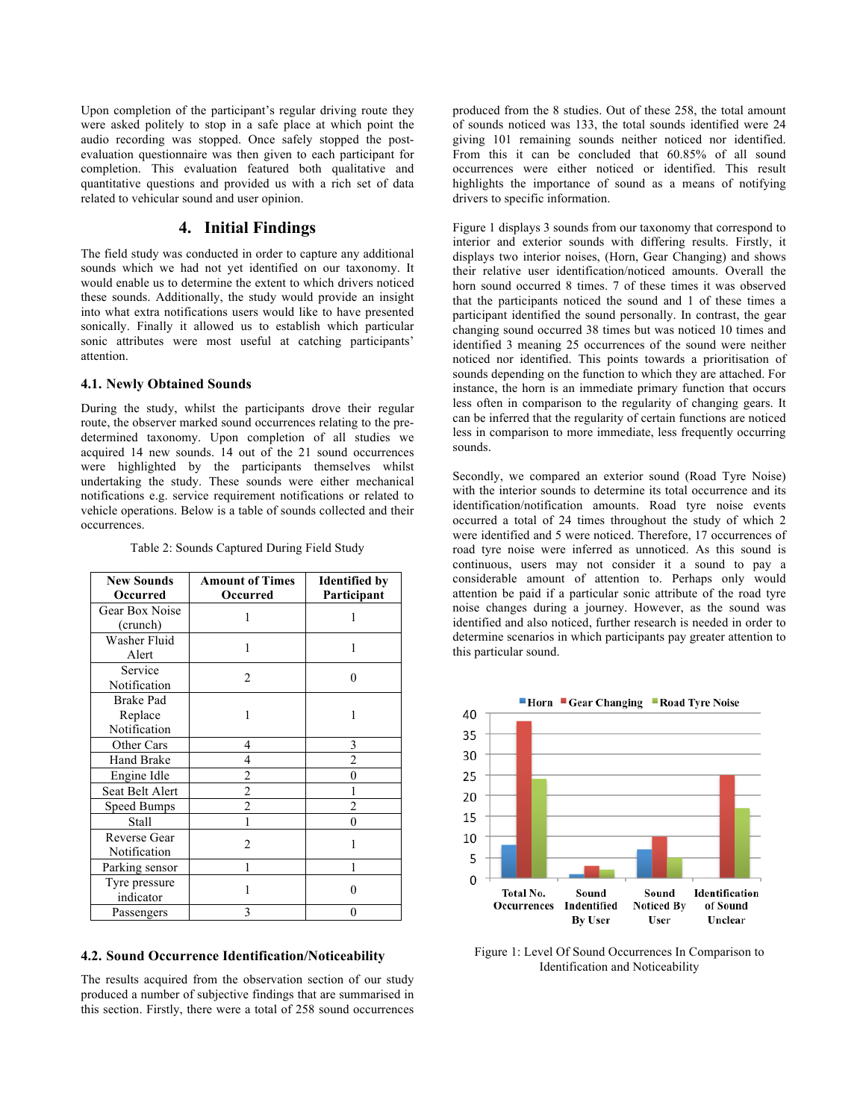Upon completion of the participant's regular driving route they were asked politely to stop in a safe place at which point the audio recording was stopped. Once safely stopped the postevaluation questionnaire was then given to each participant for completion. This evaluation featured both qualitative and quantitative questions and provided us with a rich set of data related to vehicular sound and user opinion.

## **4. Initial Findings**

The field study was conducted in order to capture any additional sounds which we had not yet identified on our taxonomy. It would enable us to determine the extent to which drivers noticed these sounds. Additionally, the study would provide an insight into what extra notifications users would like to have presented sonically. Finally it allowed us to establish which particular sonic attributes were most useful at catching participants' attention.

#### **4.1. Newly Obtained Sounds**

During the study, whilst the participants drove their regular route, the observer marked sound occurrences relating to the predetermined taxonomy. Upon completion of all studies we acquired 14 new sounds. 14 out of the 21 sound occurrences were highlighted by the participants themselves whilst undertaking the study. These sounds were either mechanical notifications e.g. service requirement notifications or related to vehicle operations. Below is a table of sounds collected and their occurrences.

| <b>New Sounds</b><br>Occurred | <b>Amount of Times</b><br>Occurred | <b>Identified by</b><br>Participant |
|-------------------------------|------------------------------------|-------------------------------------|
| Gear Box Noise                | 1                                  |                                     |
| (crunch)                      |                                    |                                     |
| Washer Fluid                  | 1                                  |                                     |
| Alert                         |                                    |                                     |
| Service                       | $\overline{c}$                     | 0                                   |
| Notification                  |                                    |                                     |
| <b>Brake Pad</b>              | 1                                  |                                     |
| Replace                       |                                    |                                     |
| Notification                  |                                    |                                     |
| Other Cars                    | 4                                  | 3                                   |
| Hand Brake                    | 4                                  | $\overline{c}$                      |
| Engine Idle                   | 2                                  | 0                                   |
| Seat Belt Alert               | $\overline{c}$                     |                                     |
| <b>Speed Bumps</b>            | $\overline{2}$                     | 2                                   |
| Stall                         |                                    | 0                                   |
| Reverse Gear                  | 2                                  |                                     |
| Notification                  |                                    |                                     |
| Parking sensor                |                                    |                                     |
| Tyre pressure                 |                                    |                                     |
| indicator                     |                                    |                                     |
| Passengers                    | 3                                  | 0                                   |

Table 2: Sounds Captured During Field Study

#### **4.2. Sound Occurrence Identification/Noticeability**

The results acquired from the observation section of our study produced a number of subjective findings that are summarised in this section. Firstly, there were a total of 258 sound occurrences produced from the 8 studies. Out of these 258, the total amount of sounds noticed was 133, the total sounds identified were 24 giving 101 remaining sounds neither noticed nor identified. From this it can be concluded that 60.85% of all sound occurrences were either noticed or identified. This result highlights the importance of sound as a means of notifying drivers to specific information.

Figure 1 displays 3 sounds from our taxonomy that correspond to interior and exterior sounds with differing results. Firstly, it displays two interior noises, (Horn, Gear Changing) and shows their relative user identification/noticed amounts. Overall the horn sound occurred 8 times. 7 of these times it was observed that the participants noticed the sound and 1 of these times a participant identified the sound personally. In contrast, the gear changing sound occurred 38 times but was noticed 10 times and identified 3 meaning 25 occurrences of the sound were neither noticed nor identified. This points towards a prioritisation of sounds depending on the function to which they are attached. For instance, the horn is an immediate primary function that occurs less often in comparison to the regularity of changing gears. It can be inferred that the regularity of certain functions are noticed less in comparison to more immediate, less frequently occurring sounds.

Secondly, we compared an exterior sound (Road Tyre Noise) with the interior sounds to determine its total occurrence and its identification/notification amounts. Road tyre noise events occurred a total of 24 times throughout the study of which 2 were identified and 5 were noticed. Therefore, 17 occurrences of road tyre noise were inferred as unnoticed. As this sound is continuous, users may not consider it a sound to pay a considerable amount of attention to. Perhaps only would attention be paid if a particular sonic attribute of the road tyre noise changes during a journey. However, as the sound was identified and also noticed, further research is needed in order to determine scenarios in which participants pay greater attention to this particular sound.



Figure 1: Level Of Sound Occurrences In Comparison to Identification and Noticeability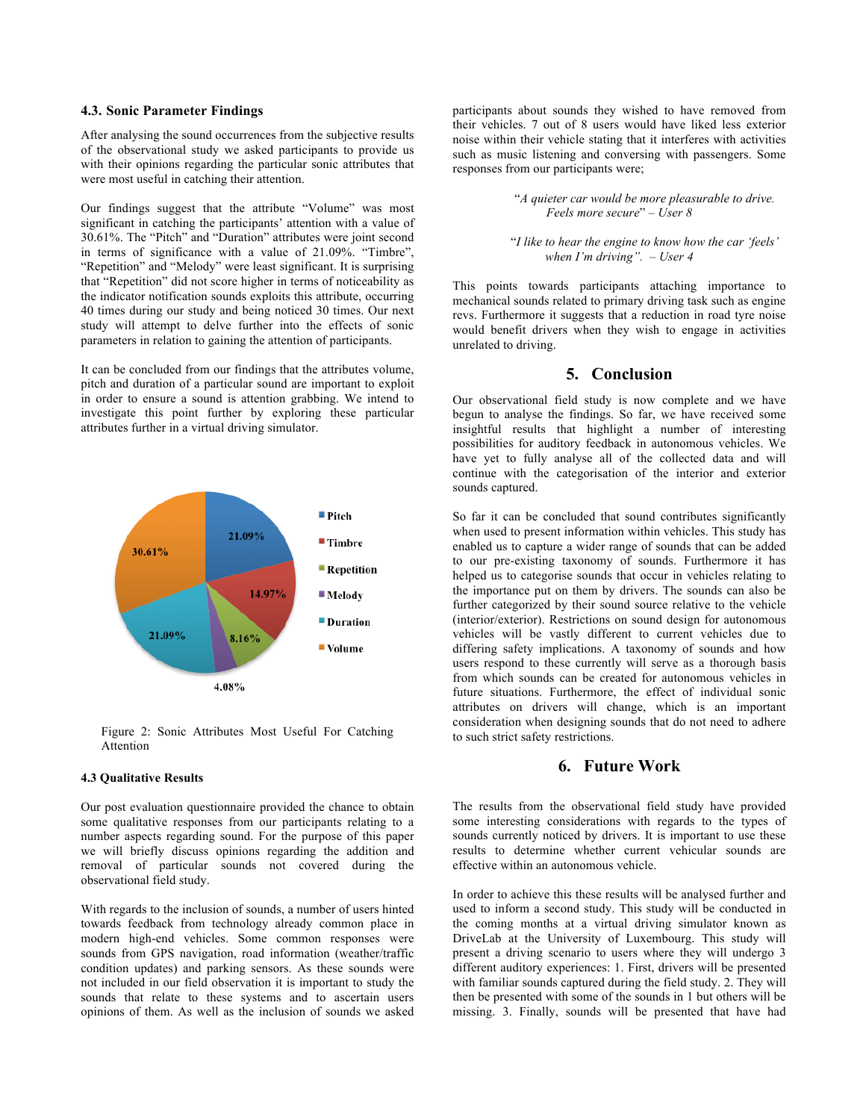#### **4.3. Sonic Parameter Findings**

After analysing the sound occurrences from the subjective results of the observational study we asked participants to provide us with their opinions regarding the particular sonic attributes that were most useful in catching their attention.

Our findings suggest that the attribute "Volume" was most significant in catching the participants' attention with a value of 30.61%. The "Pitch" and "Duration" attributes were joint second in terms of significance with a value of 21.09%. "Timbre", "Repetition" and "Melody" were least significant. It is surprising that "Repetition" did not score higher in terms of noticeability as the indicator notification sounds exploits this attribute, occurring 40 times during our study and being noticed 30 times. Our next study will attempt to delve further into the effects of sonic parameters in relation to gaining the attention of participants.

It can be concluded from our findings that the attributes volume, pitch and duration of a particular sound are important to exploit in order to ensure a sound is attention grabbing. We intend to investigate this point further by exploring these particular attributes further in a virtual driving simulator.



Figure 2: Sonic Attributes Most Useful For Catching **Attention** 

#### **4.3 Qualitative Results**

Our post evaluation questionnaire provided the chance to obtain some qualitative responses from our participants relating to a number aspects regarding sound. For the purpose of this paper we will briefly discuss opinions regarding the addition and removal of particular sounds not covered during the observational field study.

With regards to the inclusion of sounds, a number of users hinted towards feedback from technology already common place in modern high-end vehicles. Some common responses were sounds from GPS navigation, road information (weather/traffic condition updates) and parking sensors. As these sounds were not included in our field observation it is important to study the sounds that relate to these systems and to ascertain users opinions of them. As well as the inclusion of sounds we asked

participants about sounds they wished to have removed from their vehicles. 7 out of 8 users would have liked less exterior noise within their vehicle stating that it interferes with activities such as music listening and conversing with passengers. Some responses from our participants were;

> "*A quieter car would be more pleasurable to drive. Feels more secure*" *– User 8*

"*I like to hear the engine to know how the car 'feels' when I'm driving". – User 4*

This points towards participants attaching importance to mechanical sounds related to primary driving task such as engine revs. Furthermore it suggests that a reduction in road tyre noise would benefit drivers when they wish to engage in activities unrelated to driving.

# **5. Conclusion**

Our observational field study is now complete and we have begun to analyse the findings. So far, we have received some insightful results that highlight a number of interesting possibilities for auditory feedback in autonomous vehicles. We have yet to fully analyse all of the collected data and will continue with the categorisation of the interior and exterior sounds captured.

So far it can be concluded that sound contributes significantly when used to present information within vehicles. This study has enabled us to capture a wider range of sounds that can be added to our pre-existing taxonomy of sounds. Furthermore it has helped us to categorise sounds that occur in vehicles relating to the importance put on them by drivers. The sounds can also be further categorized by their sound source relative to the vehicle (interior/exterior). Restrictions on sound design for autonomous vehicles will be vastly different to current vehicles due to differing safety implications. A taxonomy of sounds and how users respond to these currently will serve as a thorough basis from which sounds can be created for autonomous vehicles in future situations. Furthermore, the effect of individual sonic attributes on drivers will change, which is an important consideration when designing sounds that do not need to adhere to such strict safety restrictions.

## **6. Future Work**

The results from the observational field study have provided some interesting considerations with regards to the types of sounds currently noticed by drivers. It is important to use these results to determine whether current vehicular sounds are effective within an autonomous vehicle.

In order to achieve this these results will be analysed further and used to inform a second study. This study will be conducted in the coming months at a virtual driving simulator known as DriveLab at the University of Luxembourg. This study will present a driving scenario to users where they will undergo 3 different auditory experiences: 1. First, drivers will be presented with familiar sounds captured during the field study. 2. They will then be presented with some of the sounds in 1 but others will be missing. 3. Finally, sounds will be presented that have had